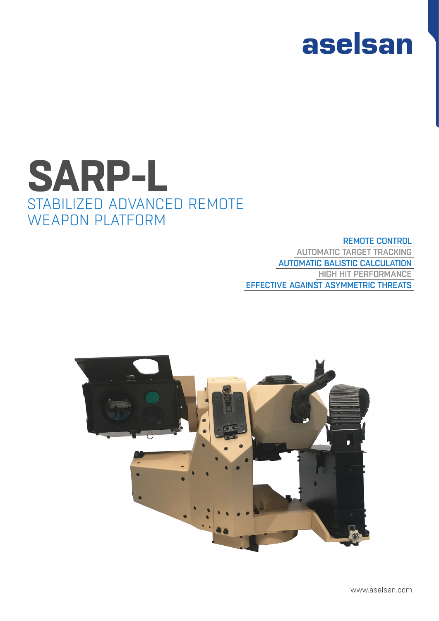# aselsan



REMOTE CONTROL AUTOMATIC TARGET TRACKING AUTOMATIC BALISTIC CALCULATION HIGH HIT PERFORMANCE EFFECTIVE AGAINST ASYMMETRIC THREATS



www.aselsan.com